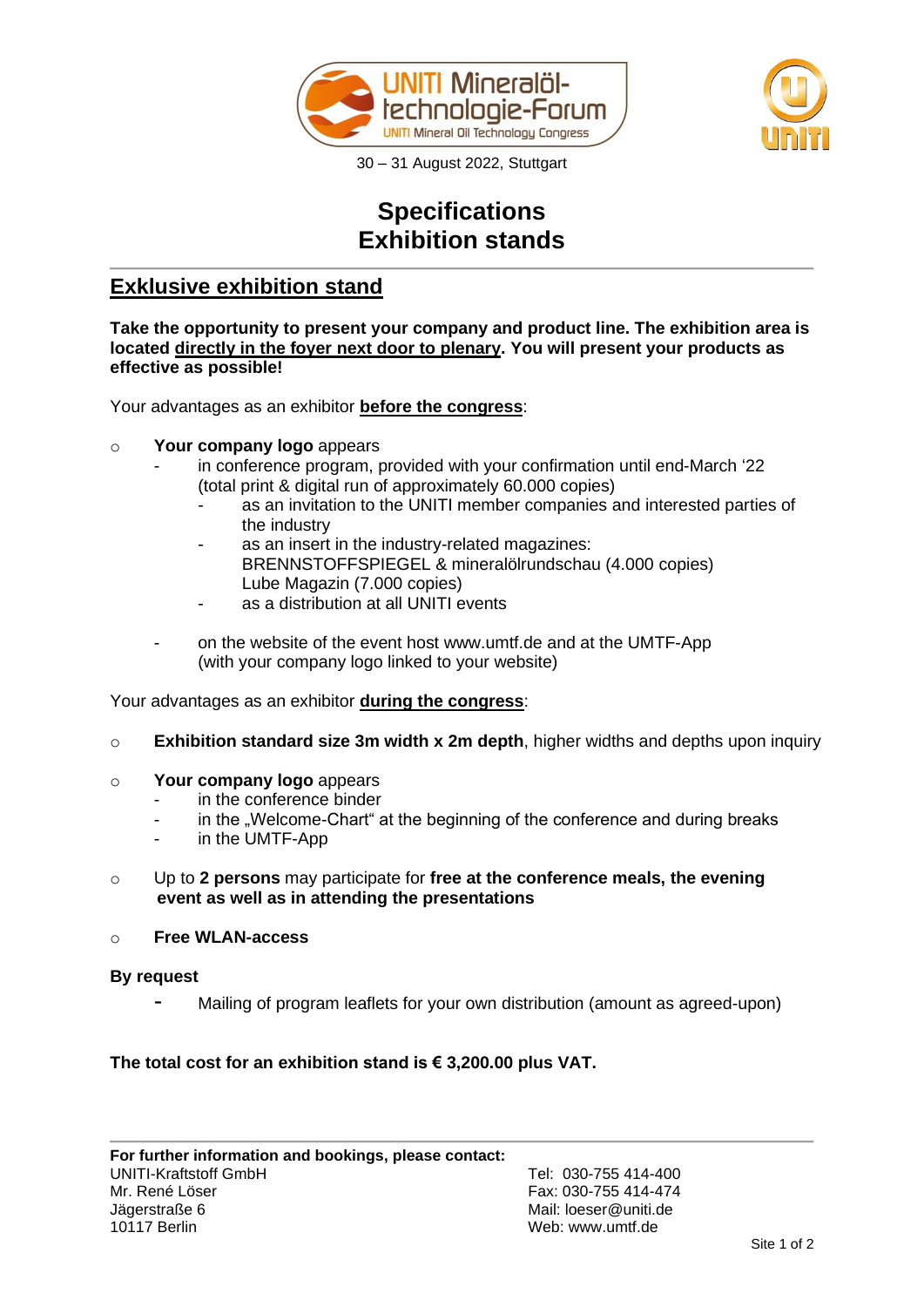



30 – 31 August 2022, Stuttgart

## **Specifications Exhibition stands**

## **Exklusive exhibition stand**

**Take the opportunity to present your company and product line. The exhibition area is located directly in the foyer next door to plenary. You will present your products as effective as possible!**

Your advantages as an exhibitor **before the congress**:

- o **Your company logo** appears
	- in conference program, provided with your confirmation until end-March '22 (total print & digital run of approximately 60.000 copies)
		- as an invitation to the UNITI member companies and interested parties of the industry
		- as an insert in the industry-related magazines: BRENNSTOFFSPIEGEL & mineralölrundschau (4.000 copies) Lube Magazin (7.000 copies)
		- as a distribution at all UNITI events
	- on the website of the event host www.umtf.de and at the UMTF-App (with your company logo linked to your website)

Your advantages as an exhibitor **during the congress**:

- o **Exhibition standard size 3m width x 2m depth**, higher widths and depths upon inquiry
- o **Your company logo** appears
	- in the conference binder
	- in the . Welcome-Chart at the beginning of the conference and during breaks
	- in the UMTF-App
- o Up to **2 persons** may participate for **free at the conference meals, the evening event as well as in attending the presentations**
- o **Free WLAN-access**

#### **By request**

Mailing of program leaflets for your own distribution (amount as agreed-upon)

#### **The total cost for an exhibition stand is € 3,200.00 plus VAT.**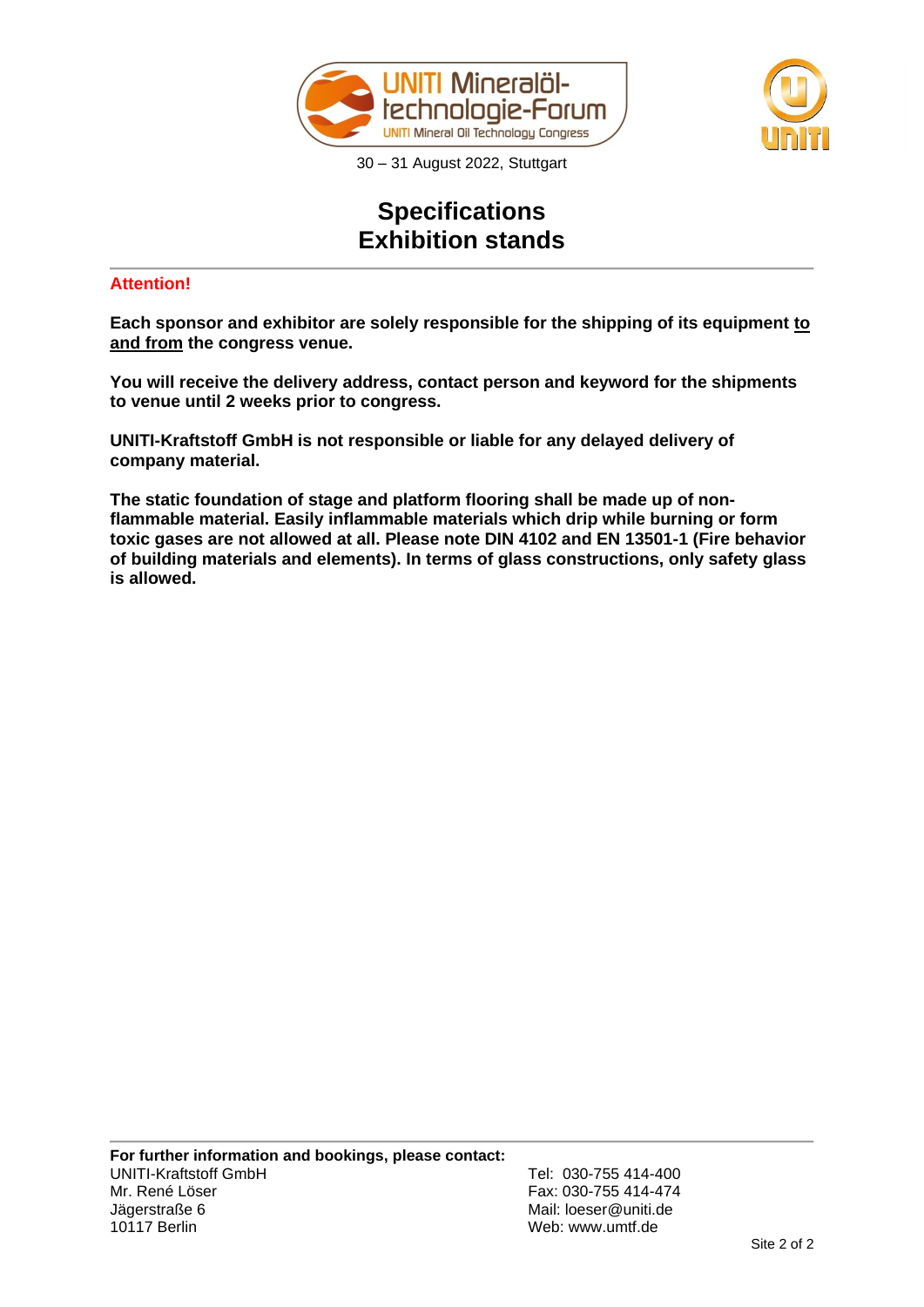



30 – 31 August 2022, Stuttgart

# **Specifications Exhibition stands**

### **Attention!**

**Each sponsor and exhibitor are solely responsible for the shipping of its equipment to and from the congress venue.**

**You will receive the delivery address, contact person and keyword for the shipments to venue until 2 weeks prior to congress.** 

**UNITI-Kraftstoff GmbH is not responsible or liable for any delayed delivery of company material.** 

**The static foundation of stage and platform flooring shall be made up of nonflammable material. Easily inflammable materials which drip while burning or form toxic gases are not allowed at all. Please note DIN 4102 and EN 13501-1 (Fire behavior of building materials and elements). In terms of glass constructions, only safety glass is allowed.**